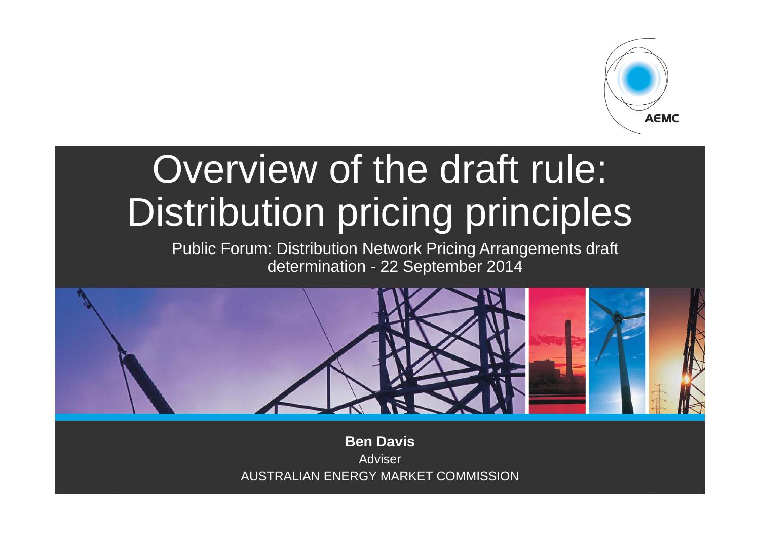

# Overview of the draft rule: Distribution pricing principles

Public Forum: Distribution Network Pricing Arrangements draft determination - 22 September 2014



**Ben Davis**AdviserAUSTRALIAN ENERGY MARKET COMMISSION

.<br>Page 1996 – Page 1996 – Page 1996 – Page 1997 – Page 1997 – Page 1997 – Page 1997 – Page 1997 – Page 1997 – Pa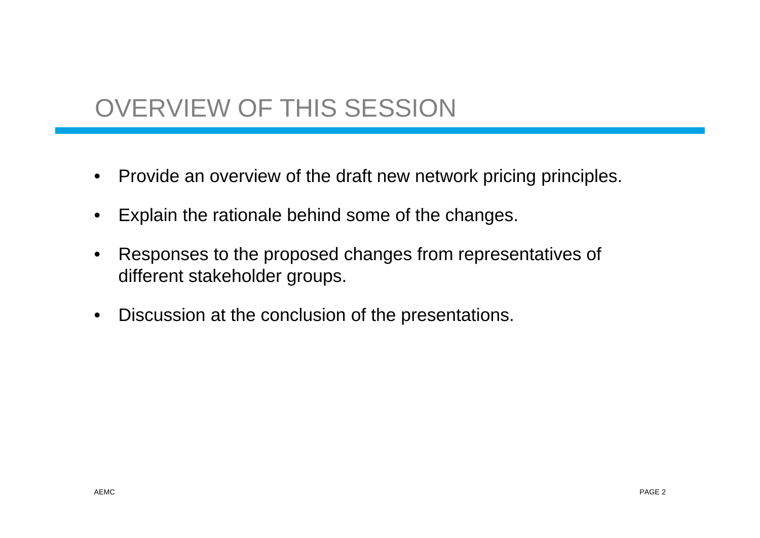# OVERVIEW OF THIS SESSION

- Provide an overview of the draft new network pricing principles.
- •Explain the rationale behind some of the changes.
- • Responses to the proposed changes from representatives of different stakeholder groups.
- $\bullet$ Discussion at the conclusion of the presentations.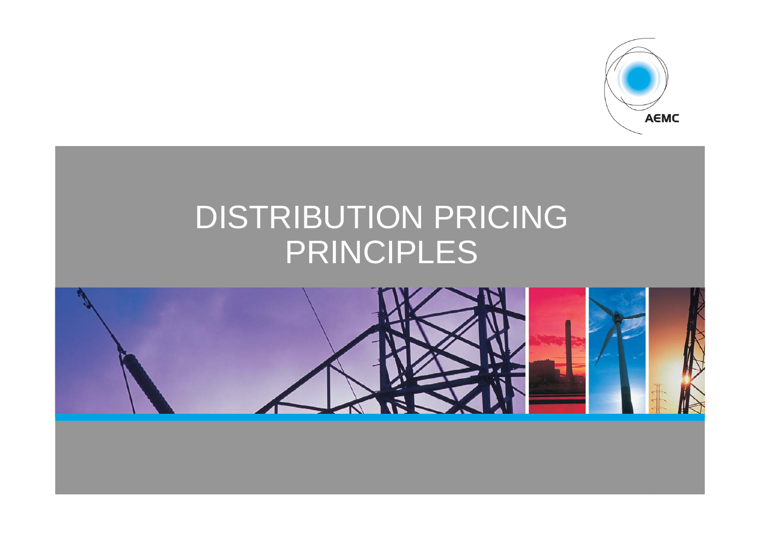

# DISTRIBUTION PRICING PRINCIPLES



page 2014 at 2014 at 2014 at 2014 at 2014 at 2014 at 2014 at 2014 at 2014 at 2014 at 2014 at 2014 at 2014 at 2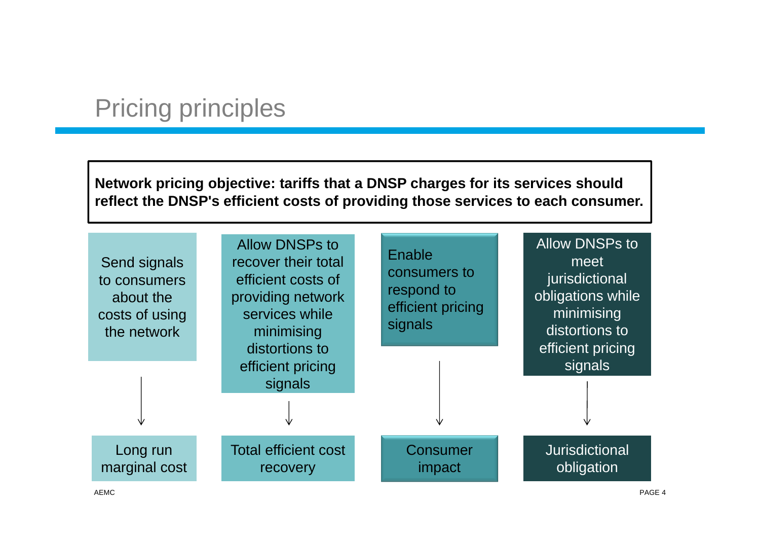## Pricing principles

**Network pricing objective: tariffs that a DNSP charges for its services should reflect the DNSP's efficient costs of providing those services to each consumer.**

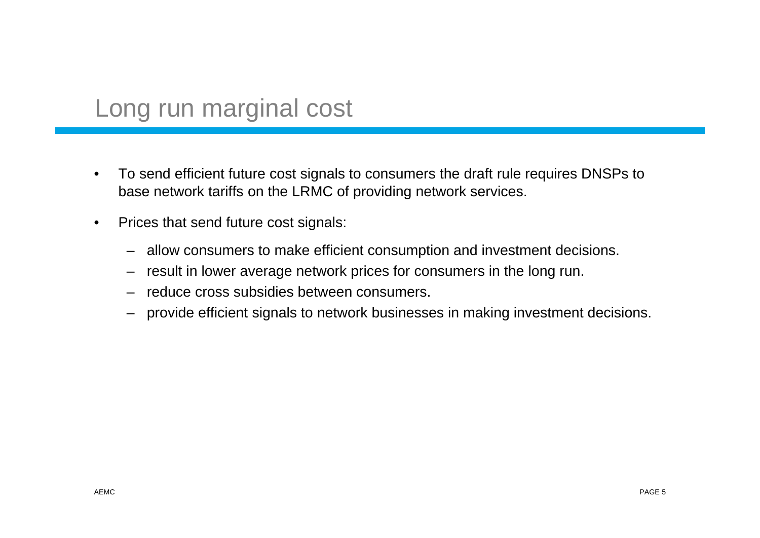#### Long run marginal cost

- • To send efficient future cost signals to consumers the draft rule requires DNSPs to base network tariffs on the LRMC of providing network services.
- $\bullet$  Prices that send future cost signals:
	- –allow consumers to make efficient consumption and investment decisions.
	- result in lower average network prices for consumers in the long run.
	- –reduce cross subsidies between consumers.
	- provide efficient signals to network businesses in making investment decisions.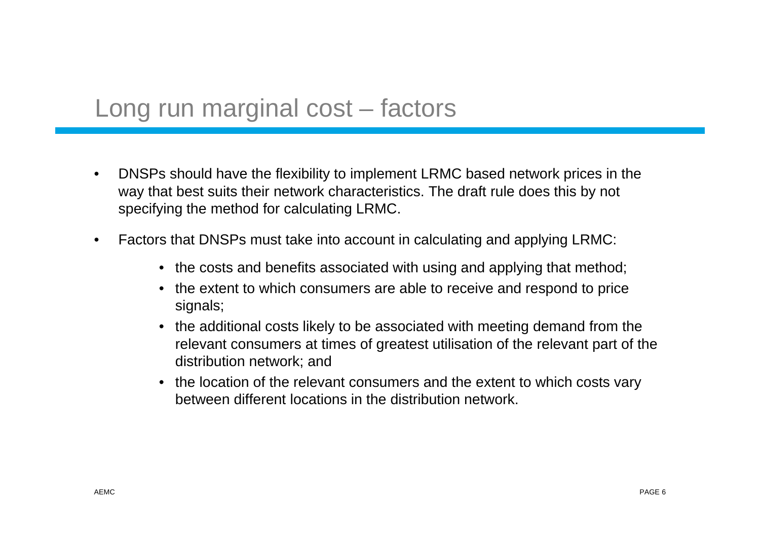#### Long run marginal cost – factors

- $\bullet$  DNSPs should have the flexibility to implement LRMC based network prices in the way that best suits their network characteristics. The draft rule does this by not specifying the method for calculating LRMC.
- $\bullet$  Factors that DNSPs must take into account in calculating and applying LRMC:
	- the costs and benefits associated with using and applying that method;
	- the extent to which consumers are able to receive and respond to price signals;
	- the additional costs likely to be associated with meeting demand from the relevant consumers at times of greatest utilisation of the relevant part of the distribution network; and
	- the location of the relevant consumers and the extent to which costs vary between different locations in the distribution network.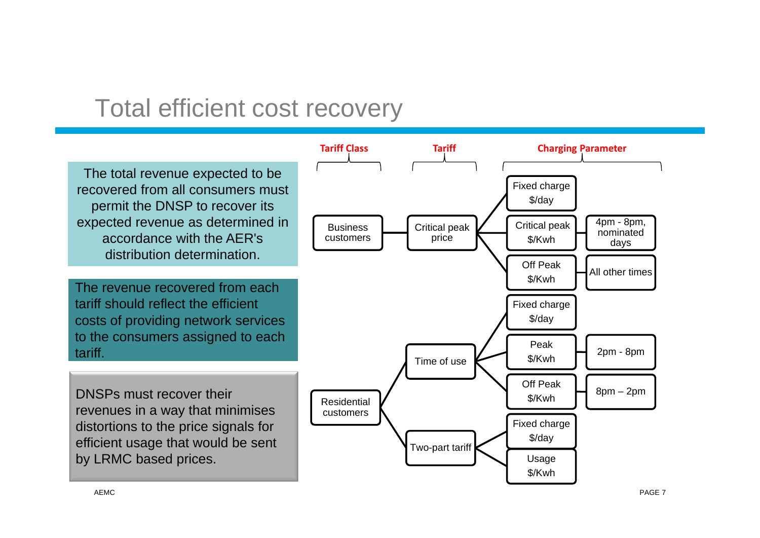#### Total efficient cost recovery

The total revenue expected to be recovered from all consumers must permit the DNSP to recover its expected revenue as determined in accordance with the AER's distribution determination.

The revenue recovered from each tariff should reflect the efficient costs of providing network services to the consumers assigned to each tariff.

DNSPs must recover their revenues in a way that minimises distortions to the price signals for efficient usage that would be sent by LRMC based prices.

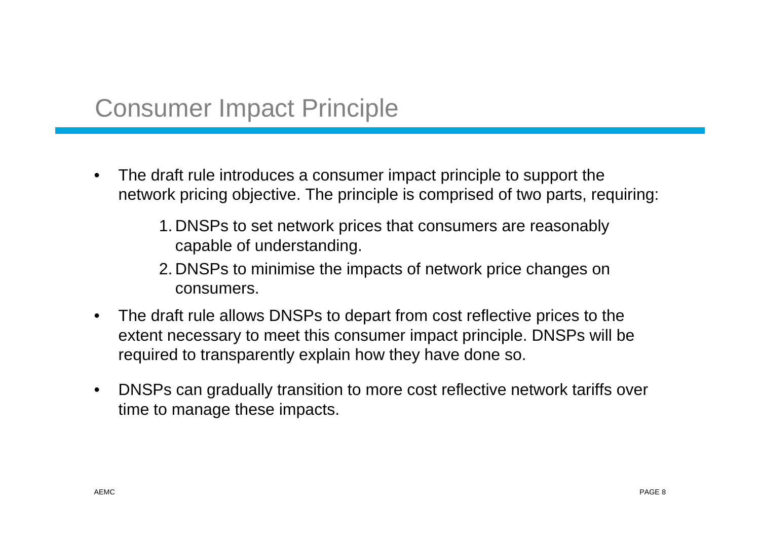### Consumer Impact Principle

- • The draft rule introduces a consumer impact principle to support the network pricing objective. The principle is comprised of two parts, requiring:
	- 1. DNSPs to set network prices that consumers are reasonably capable of understanding.
	- 2. DNSPs to minimise the impacts of network price changes on consumers.
- $\bullet$  The draft rule allows DNSPs to depart from cost reflective prices to the extent necessary to meet this consumer impact principle. DNSPs will be required to transparently explain how they have done so.
- $\bullet$  DNSPs can gradually transition to more cost reflective network tariffs over time to manage these impacts.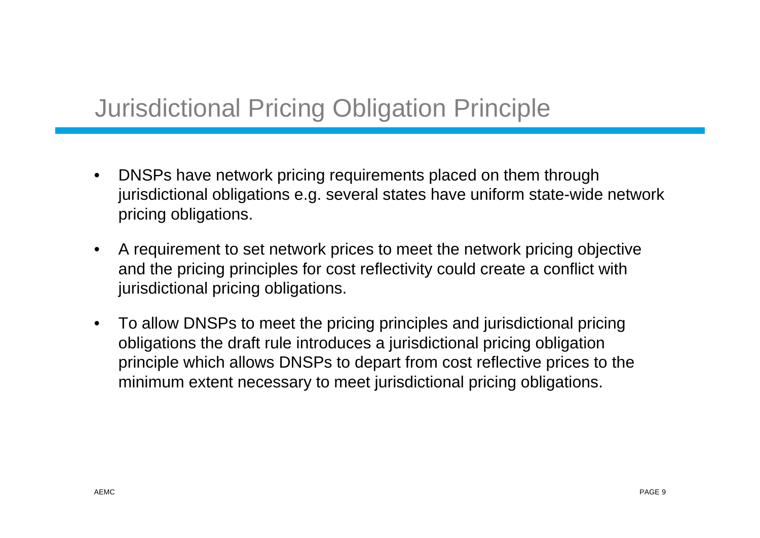# Jurisdictional Pricing Obligation Principle

- $\bullet$  DNSPs have network pricing requirements placed on them through jurisdictional obligations e.g. several states have uniform state-wide network pricing obligations.
- $\bullet$  A requirement to set network prices to meet the network pricing objective and the pricing principles for cost reflectivity could create a conflict with jurisdictional pricing obligations.
- $\bullet$  To allow DNSPs to meet the pricing principles and jurisdictional pricing obligations the draft rule introduces a jurisdictional pricing obligation principle which allows DNSPs to depart from cost reflective prices to the minimum extent necessary to meet jurisdictional pricing obligations.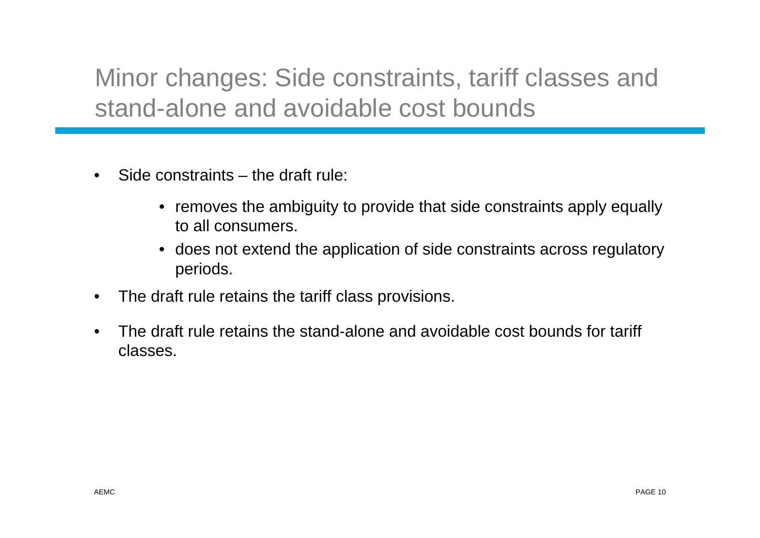Minor changes: Side constraints, tariff classes and stand-alone and avoidable cost bounds

- $\bullet$  Side constraints – the draft rule:
	- removes the ambiguity to provide that side constraints apply equally to all consumers.
	- does not extend the application of side constraints across regulatory periods.
- •The draft rule retains the tariff class provisions.
- • The draft rule retains the stand-alone and avoidable cost bounds for tariff classes.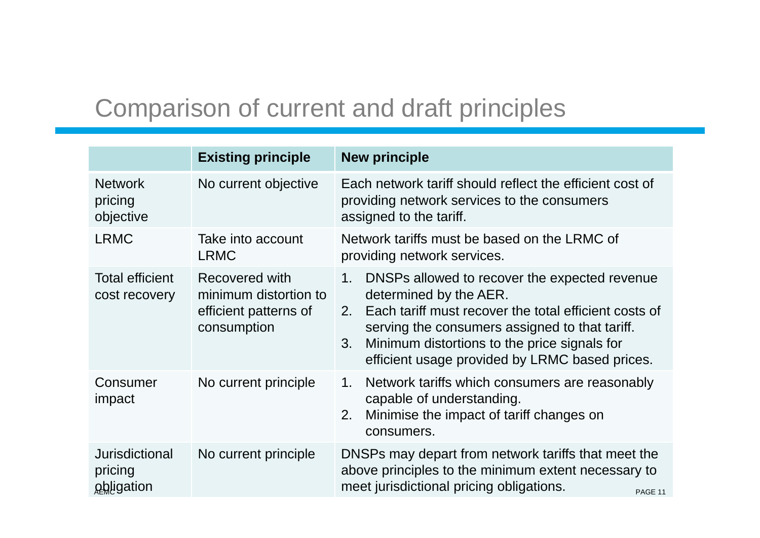# Comparison of current and draft principles

|                                         | <b>Existing principle</b>                                                       | <b>New principle</b>                                                                                                                                                                                                                                                                                                 |
|-----------------------------------------|---------------------------------------------------------------------------------|----------------------------------------------------------------------------------------------------------------------------------------------------------------------------------------------------------------------------------------------------------------------------------------------------------------------|
| <b>Network</b><br>pricing<br>objective  | No current objective                                                            | Each network tariff should reflect the efficient cost of<br>providing network services to the consumers<br>assigned to the tariff.                                                                                                                                                                                   |
| <b>LRMC</b>                             | Take into account<br><b>LRMC</b>                                                | Network tariffs must be based on the LRMC of<br>providing network services.                                                                                                                                                                                                                                          |
| <b>Total efficient</b><br>cost recovery | Recovered with<br>minimum distortion to<br>efficient patterns of<br>consumption | DNSPs allowed to recover the expected revenue<br>$1_{\cdot}$<br>determined by the AER.<br>Each tariff must recover the total efficient costs of<br>$2_{-}$<br>serving the consumers assigned to that tariff.<br>Minimum distortions to the price signals for<br>3.<br>efficient usage provided by LRMC based prices. |
| Consumer<br>impact                      | No current principle                                                            | Network tariffs which consumers are reasonably<br>1.<br>capable of understanding.<br>Minimise the impact of tariff changes on<br>2.<br>consumers.                                                                                                                                                                    |
| Jurisdictional<br>pricing<br>obligation | No current principle                                                            | DNSPs may depart from network tariffs that meet the<br>above principles to the minimum extent necessary to<br>meet jurisdictional pricing obligations.<br>PAGE 11                                                                                                                                                    |